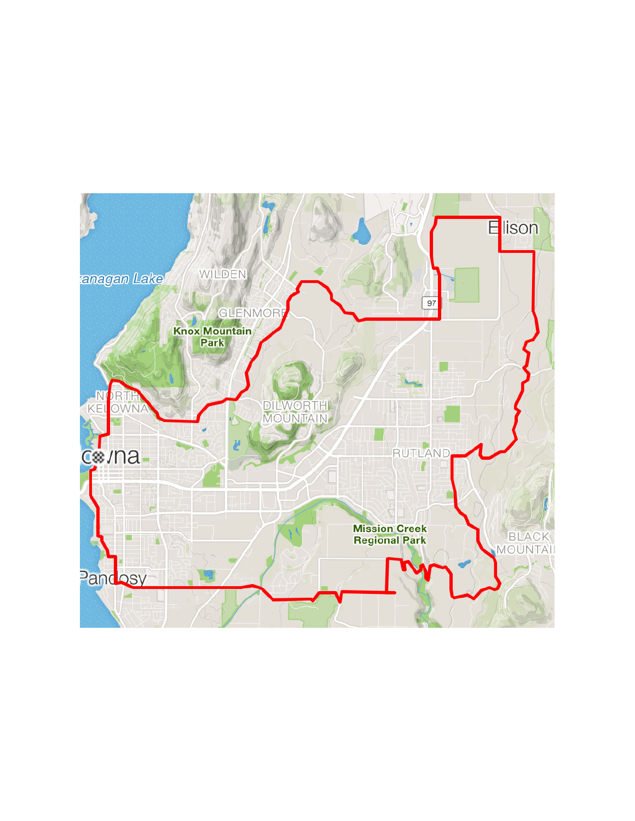